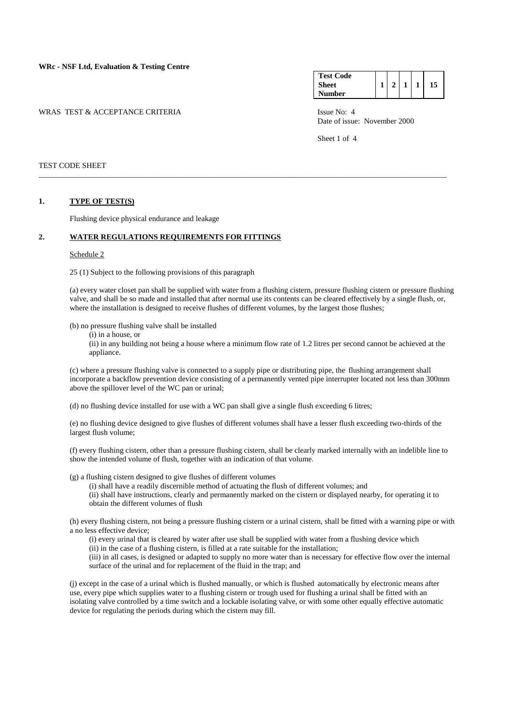WRAS TEST  $\&$  ACCEPTANCE CRITERIA ISSUE No: 4

| <b>Test Code</b> |  |  |    |
|------------------|--|--|----|
| <b>Sheet</b>     |  |  | 15 |
| <b>Number</b>    |  |  |    |

Date of issue: November 2000

Sheet 1 of 4

## TEST CODE SHEET

## **1. TYPE OF TEST(S)**

Flushing device physical endurance and leakage

## **2. WATER REGULATIONS REQUIREMENTS FOR FITTINGS**

### Schedule 2

25 (1) Subject to the following provisions of this paragraph

(a) every water closet pan shall be supplied with water from a flushing cistern, pressure flushing cistern or pressure flushing valve, and shall be so made and installed that after normal use its contents can be cleared effectively by a single flush, or, where the installation is designed to receive flushes of different volumes, by the largest those flushes;

\_\_\_\_\_\_\_\_\_\_\_\_\_\_\_\_\_\_\_\_\_\_\_\_\_\_\_\_\_\_\_\_\_\_\_\_\_\_\_\_\_\_\_\_\_\_\_\_\_\_\_\_\_\_\_\_\_\_\_\_\_\_\_\_\_\_\_\_\_\_\_\_\_\_\_\_\_\_\_\_\_\_\_\_\_\_\_\_\_\_\_\_\_\_\_\_\_\_\_\_\_\_\_\_

(b) no pressure flushing valve shall be installed

(i) in a house, or

(ii) in any building not being a house where a minimum flow rate of 1.2 litres per second cannot be achieved at the appliance.

 (c) where a pressure flushing valve is connected to a supply pipe or distributing pipe, the flushing arrangement shall incorporate a backflow prevention device consisting of a permanently vented pipe interrupter located not less than 300mm above the spillover level of the WC pan or urinal;

(d) no flushing device installed for use with a WC pan shall give a single flush exceeding 6 litres;

(e) no flushing device designed to give flushes of different volumes shall have a lesser flush exceeding two-thirds of the largest flush volume;

(f) every flushing cistern, other than a pressure flushing cistern, shall be clearly marked internally with an indelible line to show the intended volume of flush, together with an indication of that volume.

(g) a flushing cistern designed to give flushes of different volumes

(i) shall have a readily discernible method of actuating the flush of different volumes; and

 (ii) shall have instructions, clearly and permanently marked on the cistern or displayed nearby, for operating it to obtain the different volumes of flush

(h) every flushing cistern, not being a pressure flushing cistern or a urinal cistern, shall be fitted with a warning pipe or with a no less effective device;

- (i) every urinal that is cleared by water after use shall be supplied with water from a flushing device which
- (ii) in the case of a flushing cistern, is filled at a rate suitable for the installation;

(iii) in all cases, is designed or adapted to supply no more water than is necessary for effective flow over the internal surface of the urinal and for replacement of the fluid in the trap; and

(j) except in the case of a urinal which is flushed manually, or which is flushed automatically by electronic means after use, every pipe which supplies water to a flushing cistern or trough used for flushing a urinal shall be fitted with an isolating valve controlled by a time switch and a lockable isolating valve, or with some other equally effective automatic device for regulating the periods during which the cistern may fill.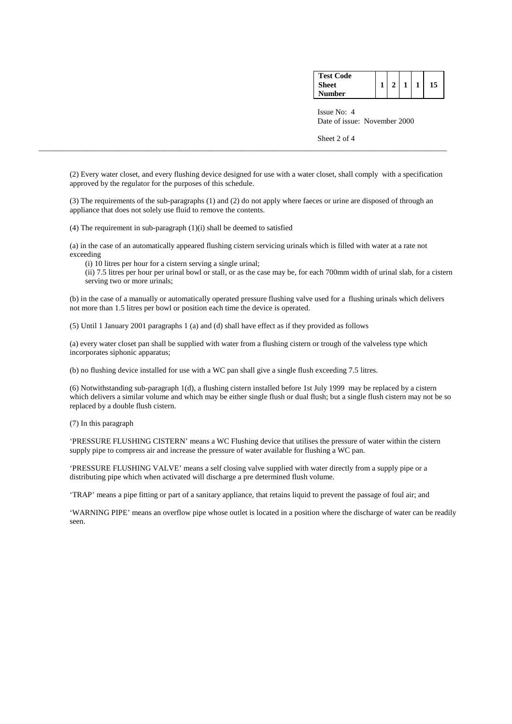| <b>Test Code</b> |  |  |  |
|------------------|--|--|--|
| Sheet            |  |  |  |
| Number           |  |  |  |

 Issue No: 4 Date of issue: November 2000

Sheet 2 of 4

(2) Every water closet, and every flushing device designed for use with a water closet, shall comply with a specification approved by the regulator for the purposes of this schedule.

\_\_\_\_\_\_\_\_\_\_\_\_\_\_\_\_\_\_\_\_\_\_\_\_\_\_\_\_\_\_\_\_\_\_\_\_\_\_\_\_\_\_\_\_\_\_\_\_\_\_\_\_\_\_\_\_\_\_\_\_\_\_\_\_\_\_\_\_\_\_\_\_\_\_\_\_\_\_\_\_\_\_\_\_\_\_\_\_\_\_\_\_\_\_\_\_\_\_\_\_\_\_\_\_

(3) The requirements of the sub-paragraphs (1) and (2) do not apply where faeces or urine are disposed of through an appliance that does not solely use fluid to remove the contents.

(4) The requirement in sub-paragraph  $(1)(i)$  shall be deemed to satisfied

(a) in the case of an automatically appeared flushing cistern servicing urinals which is filled with water at a rate not exceeding

(i) 10 litres per hour for a cistern serving a single urinal;

 (ii) 7.5 litres per hour per urinal bowl or stall, or as the case may be, for each 700mm width of urinal slab, for a cistern serving two or more urinals;

(b) in the case of a manually or automatically operated pressure flushing valve used for a flushing urinals which delivers not more than 1.5 litres per bowl or position each time the device is operated.

(5) Until 1 January 2001 paragraphs 1 (a) and (d) shall have effect as if they provided as follows

(a) every water closet pan shall be supplied with water from a flushing cistern or trough of the valveless type which incorporates siphonic apparatus;

(b) no flushing device installed for use with a WC pan shall give a single flush exceeding 7.5 litres.

(6) Notwithstanding sub-paragraph 1(d), a flushing cistern installed before 1st July 1999 may be replaced by a cistern which delivers a similar volume and which may be either single flush or dual flush; but a single flush cistern may not be so replaced by a double flush cistern.

(7) In this paragraph

'PRESSURE FLUSHING CISTERN' means a WC Flushing device that utilises the pressure of water within the cistern supply pipe to compress air and increase the pressure of water available for flushing a WC pan.

'PRESSURE FLUSHING VALVE' means a self closing valve supplied with water directly from a supply pipe or a distributing pipe which when activated will discharge a pre determined flush volume.

'TRAP' means a pipe fitting or part of a sanitary appliance, that retains liquid to prevent the passage of foul air; and

'WARNING PIPE' means an overflow pipe whose outlet is located in a position where the discharge of water can be readily seen.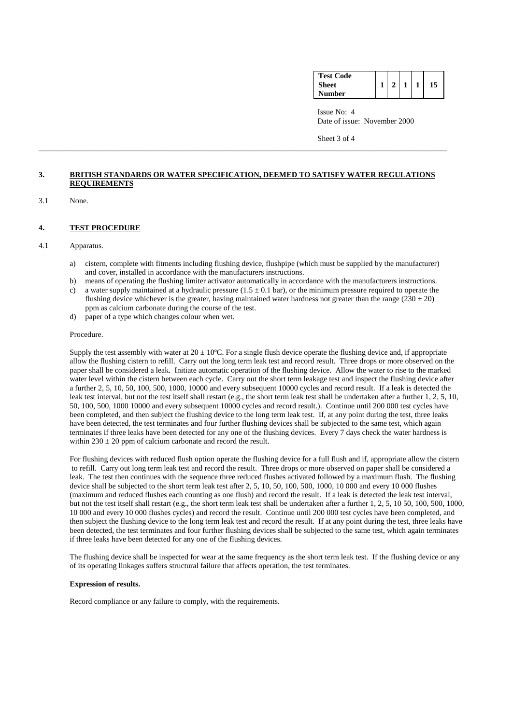| <b>Test Code</b> |  |  |  |
|------------------|--|--|--|
| <b>Sheet</b>     |  |  |  |
| <b>Number</b>    |  |  |  |

 Issue No: 4 Date of issue: November 2000

Sheet 3 of 4

## **3. BRITISH STANDARDS OR WATER SPECIFICATION, DEEMED TO SATISFY WATER REGULATIONS REQUIREMENTS**

\_\_\_\_\_\_\_\_\_\_\_\_\_\_\_\_\_\_\_\_\_\_\_\_\_\_\_\_\_\_\_\_\_\_\_\_\_\_\_\_\_\_\_\_\_\_\_\_\_\_\_\_\_\_\_\_\_\_\_\_\_\_\_\_\_\_\_\_\_\_\_\_\_\_\_\_\_\_\_\_\_\_\_\_\_\_\_\_\_\_\_\_\_\_\_\_\_\_\_\_\_\_\_\_

3.1 None.

## **4. TEST PROCEDURE**

### 4.1 Apparatus.

- a) cistern, complete with fitments including flushing device, flushpipe (which must be supplied by the manufacturer) and cover, installed in accordance with the manufacturers instructions.
- b) means of operating the flushing limiter activator automatically in accordance with the manufacturers instructions.
- c) a water supply maintained at a hydraulic pressure  $(1.5 \pm 0.1 \text{ bar})$ , or the minimum pressure required to operate the flushing device whichever is the greater, having maintained water hardness not greater than the range ( $230 \pm 20$ ) ppm as calcium carbonate during the course of the test.
- d) paper of a type which changes colour when wet.

Procedure.

Supply the test assembly with water at  $20 \pm 10^{\circ}$ C. For a single flush device operate the flushing device and, if appropriate allow the flushing cistern to refill. Carry out the long term leak test and record result. Three drops or more observed on the paper shall be considered a leak. Initiate automatic operation of the flushing device. Allow the water to rise to the marked water level within the cistern between each cycle. Carry out the short term leakage test and inspect the flushing device after a further 2, 5, 10, 50, 100, 500, 1000, 10000 and every subsequent 10000 cycles and record result. If a leak is detected the leak test interval, but not the test itself shall restart (e.g., the short term leak test shall be undertaken after a further 1, 2, 5, 10, 50, 100, 500, 1000 10000 and every subsequent 10000 cycles and record result.). Continue until 200 000 test cycles have been completed, and then subject the flushing device to the long term leak test. If, at any point during the test, three leaks have been detected, the test terminates and four further flushing devices shall be subjected to the same test, which again terminates if three leaks have been detected for any one of the flushing devices. Every 7 days check the water hardness is within  $230 \pm 20$  ppm of calcium carbonate and record the result.

For flushing devices with reduced flush option operate the flushing device for a full flush and if, appropriate allow the cistern to refill. Carry out long term leak test and record the result. Three drops or more observed on paper shall be considered a leak. The test then continues with the sequence three reduced flushes activated followed by a maximum flush. The flushing device shall be subjected to the short term leak test after 2, 5, 10, 50, 100, 500, 1000, 10 000 and every 10 000 flushes (maximum and reduced flushes each counting as one flush) and record the result. If a leak is detected the leak test interval, but not the test itself shall restart (e.g., the short term leak test shall be undertaken after a further 1, 2, 5, 10 50, 100, 500, 1000, 10 000 and every 10 000 flushes cycles) and record the result. Continue until 200 000 test cycles have been completed, and then subject the flushing device to the long term leak test and record the result. If at any point during the test, three leaks have been detected, the test terminates and four further flushing devices shall be subjected to the same test, which again terminates if three leaks have been detected for any one of the flushing devices.

The flushing device shall be inspected for wear at the same frequency as the short term leak test. If the flushing device or any of its operating linkages suffers structural failure that affects operation, the test terminates.

### **Expression of results.**

Record compliance or any failure to comply, with the requirements.